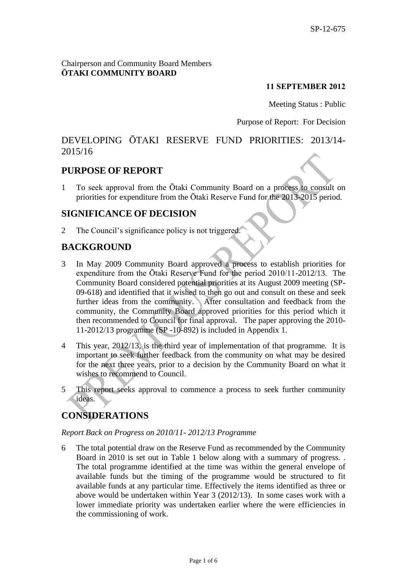#### Chairperson and Community Board Members **ŌTAKI COMMUNITY BOARD**

### **11 SEPTEMBER 2012**

Meeting Status : Public

#### Purpose of Report: For Decision

# DEVELOPING ŌTAKI RESERVE FUND PRIORITIES: 2013/14- 2015/16

# **PURPOSE OF REPORT**

1 To seek approval from the Ōtaki Community Board on a process to consult on priorities for expenditure from the Ōtaki Reserve Fund for the 2013-2015 period.

### **SIGNIFICANCE OF DECISION**

2 The Council's significance policy is not triggered.

# **BACKGROUND**

- 3 In May 2009 Community Board approved a process to establish priorities for expenditure from the Ōtaki Reserve Fund for the period 2010/11-2012/13. The Community Board considered potential priorities at its August 2009 meeting (SP-09-618) and identified that it wished to then go out and consult on these and seek further ideas from the community. After consultation and feedback from the community, the Community Board approved priorities for this period which it then recommended to Council for final approval. The paper approving the 2010- 11-2012/13 programme (SP -10-892) is included in Appendix 1.
- 4 This year, 2012/13, is the third year of implementation of that programme. It is important to seek further feedback from the community on what may be desired for the next three years, prior to a decision by the Community Board on what it wishes to recommend to Council.
- 5 This report seeks approval to commence a process to seek further community ideas.

# **CONSIDERATIONS**

#### *Report Back on Progress on 2010/11- 2012/13 Programme*

6 The total potential draw on the Reserve Fund as recommended by the Community Board in 2010 is set out in Table 1 below along with a summary of progress. . The total programme identified at the time was within the general envelope of available funds but the timing of the programme would be structured to fit available funds at any particular time. Effectively the items identified as three or above would be undertaken within Year 3 (2012/13). In some cases work with a lower immediate priority was undertaken earlier where the were efficiencies in the commissioning of work.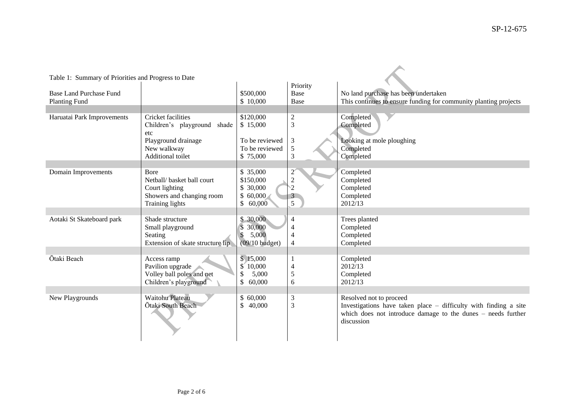| Table 1: Summary of Priorities and Progress to Date |                                                    |                                              |                                  |                                                                            |  |  |  |
|-----------------------------------------------------|----------------------------------------------------|----------------------------------------------|----------------------------------|----------------------------------------------------------------------------|--|--|--|
|                                                     |                                                    |                                              | Priority                         |                                                                            |  |  |  |
| Base Land Purchase Fund                             |                                                    | \$500,000                                    | Base                             | No land purchase has been undertaken                                       |  |  |  |
| <b>Planting Fund</b>                                |                                                    | \$10,000                                     | Base                             | This continues to ensure funding for community planting projects           |  |  |  |
| Haruatai Park Improvements                          | Cricket facilities                                 | \$120,000                                    | $\boldsymbol{2}$                 | Completed                                                                  |  |  |  |
|                                                     | Children's playground<br>shade                     | \$15,000                                     | $\overline{3}$                   | Completed                                                                  |  |  |  |
|                                                     | etc                                                |                                              |                                  |                                                                            |  |  |  |
|                                                     | Playground drainage                                | To be reviewed                               | $\mathfrak{Z}$                   | Looking at mole ploughing                                                  |  |  |  |
|                                                     | New walkway                                        | To be reviewed                               | $\sqrt{5}$                       | Completed                                                                  |  |  |  |
|                                                     | Additional toilet                                  | \$75,000                                     | 3                                | Completed                                                                  |  |  |  |
| Domain Improvements                                 | Bore                                               | \$ 35,000                                    | $2^{^{\circ}}$                   | Completed                                                                  |  |  |  |
|                                                     | Netball/ basket ball court                         | \$150,000                                    | $\boldsymbol{2}$                 | Completed                                                                  |  |  |  |
|                                                     | Court lighting                                     | \$ 30,000                                    | $\dot{2}$                        | Completed                                                                  |  |  |  |
|                                                     | Showers and changing room                          | \$60,000                                     | $\mathfrak{Z}$                   | Completed                                                                  |  |  |  |
|                                                     | <b>Training lights</b>                             | \$<br>60,000                                 | 5                                | 2012/13                                                                    |  |  |  |
|                                                     |                                                    |                                              |                                  |                                                                            |  |  |  |
| Aotaki St Skateboard park                           | Shade structure<br>Small playground                | \$30,000<br>30,000                           | $\overline{4}$<br>$\overline{4}$ | Trees planted<br>Completed                                                 |  |  |  |
|                                                     | Seating                                            | 5,000<br>$\$$                                | $\overline{4}$                   | Completed                                                                  |  |  |  |
|                                                     | Extension of skate structure lip                   | $(09/10$ budget)                             | $\overline{4}$                   | Completed                                                                  |  |  |  |
|                                                     |                                                    |                                              |                                  |                                                                            |  |  |  |
| Ōtaki Beach                                         | Access ramp                                        | \$15,000                                     | $\mathbf{1}$                     | Completed                                                                  |  |  |  |
|                                                     | Pavilion upgrade                                   | 10,000<br>$\mathbb{S}^{\mathbb{C}}$<br>5,000 | $\overline{4}$<br>5              | 2012/13                                                                    |  |  |  |
|                                                     | Volley ball poles and net<br>Children's playground | \$<br>60,000                                 | 6                                | Completed<br>2012/13                                                       |  |  |  |
|                                                     |                                                    |                                              |                                  |                                                                            |  |  |  |
| New Playgrounds                                     | <b>Waitohu Plateau</b>                             | \$60,000                                     | $\ensuremath{\mathfrak{Z}}$      | Resolved not to proceed                                                    |  |  |  |
|                                                     | Ōtaki South Beach                                  | \$<br>40,000                                 | 3                                | Investigations have taken place – difficulty with finding a site           |  |  |  |
|                                                     |                                                    |                                              |                                  | which does not introduce damage to the dunes – needs further<br>discussion |  |  |  |
|                                                     |                                                    |                                              |                                  |                                                                            |  |  |  |
|                                                     |                                                    |                                              |                                  |                                                                            |  |  |  |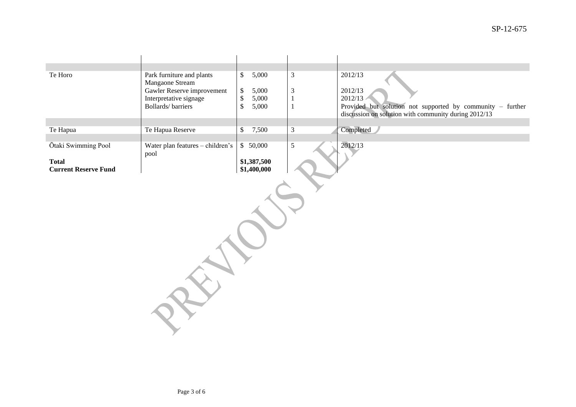| Te Horo                     | Park furniture and plants                            | 5,000<br>\$                              | $\mathfrak{Z}$                 | 2012/13                                                    |  |  |  |  |  |
|-----------------------------|------------------------------------------------------|------------------------------------------|--------------------------------|------------------------------------------------------------|--|--|--|--|--|
|                             | Mangaone Stream                                      |                                          |                                |                                                            |  |  |  |  |  |
|                             | Gawler Reserve improvement<br>Interpretative signage | $\$\,$<br>5,000<br>$\mathbb{S}$<br>5,000 | $\mathfrak{Z}$<br>$\mathbf{1}$ | 2012/13<br>2012/13                                         |  |  |  |  |  |
|                             | <b>Bollards/barriers</b>                             | $\mathbb{S}$<br>5,000                    | $\mathbf{1}$                   | Provided but solution not supported by community - further |  |  |  |  |  |
|                             |                                                      |                                          |                                | discussion on solution with community during 2012/13       |  |  |  |  |  |
|                             |                                                      |                                          |                                |                                                            |  |  |  |  |  |
| Te Hapua                    | Te Hapua Reserve                                     | 7,500<br>\$                              | $\mathfrak{Z}$                 | Completed                                                  |  |  |  |  |  |
| Ōtaki Swimming Pool         | Water plan features - children's                     | \$ 50,000                                | $\mathfrak{S}$                 | 2012/13                                                    |  |  |  |  |  |
|                             | pool                                                 |                                          |                                |                                                            |  |  |  |  |  |
| <b>Total</b>                |                                                      | \$1,387,500                              |                                |                                                            |  |  |  |  |  |
| <b>Current Reserve Fund</b> |                                                      | \$1,400,000                              |                                |                                                            |  |  |  |  |  |
|                             |                                                      |                                          |                                |                                                            |  |  |  |  |  |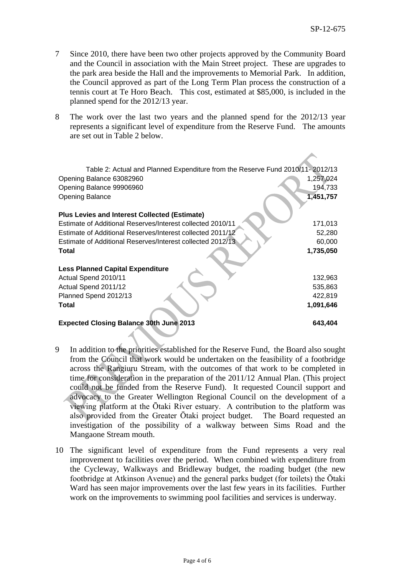- 7 Since 2010, there have been two other projects approved by the Community Board and the Council in association with the Main Street project. These are upgrades to the park area beside the Hall and the improvements to Memorial Park. In addition, the Council approved as part of the Long Term Plan process the construction of a tennis court at Te Horo Beach. This cost, estimated at \$85,000, is included in the planned spend for the 2012/13 year.
- 8 The work over the last two years and the planned spend for the 2012/13 year represents a significant level of expenditure from the Reserve Fund. The amounts are set out in Table 2 below.

| Table 2: Actual and Planned Expenditure from the Reserve Fund 2010/11- 2012/13 |           |
|--------------------------------------------------------------------------------|-----------|
| Opening Balance 63082960                                                       | 1,257,024 |
| Opening Balance 99906960                                                       | 194,733   |
| <b>Opening Balance</b>                                                         | 1,451,757 |
|                                                                                |           |
| <b>Plus Levies and Interest Collected (Estimate)</b>                           |           |
| Estimate of Additional Reserves/Interest collected 2010/11                     | 171,013   |
| Estimate of Additional Reserves/Interest collected 2011/12                     | 52,280    |
| Estimate of Additional Reserves/Interest collected 2012/13                     | 60,000    |
| Total                                                                          | 1,735,050 |
|                                                                                |           |
| <b>Less Planned Capital Expenditure</b>                                        |           |
| Actual Spend 2010/11                                                           | 132,963   |
| Actual Spend 2011/12                                                           | 535,863   |
| Planned Spend 2012/13                                                          | 422,819   |
| <b>Total</b>                                                                   | 1,091,646 |
| <b>Expected Closing Balance 30th June 2013</b>                                 | 643,404   |

- 9 In addition to the priorities established for the Reserve Fund, the Board also sought from the Council that work would be undertaken on the feasibility of a footbridge across the Rangiuru Stream, with the outcomes of that work to be completed in time for consideration in the preparation of the 2011/12 Annual Plan. (This project could not be funded from the Reserve Fund). It requested Council support and advocacy to the Greater Wellington Regional Council on the development of a viewing platform at the Ōtaki River estuary. A contribution to the platform was also provided from the Greater Ōtaki project budget. The Board requested an investigation of the possibility of a walkway between Sims Road and the Mangaone Stream mouth.
- 10 The significant level of expenditure from the Fund represents a very real improvement to facilities over the period. When combined with expenditure from the Cycleway, Walkways and Bridleway budget, the roading budget (the new footbridge at Atkinson Avenue) and the general parks budget (for toilets) the Ōtaki Ward has seen major improvements over the last few years in its facilities. Further work on the improvements to swimming pool facilities and services is underway.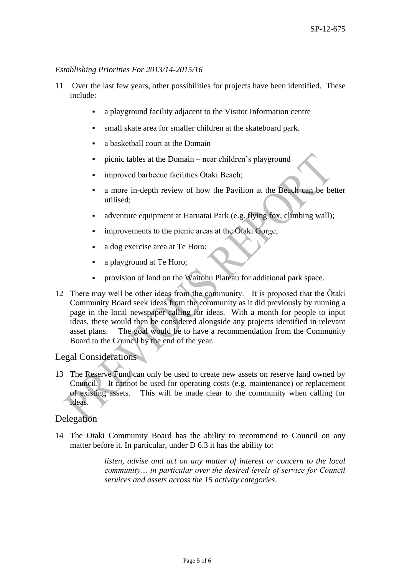#### *Establishing Priorities For 2013/14-2015/16*

- 11 Over the last few years, other possibilities for projects have been identified. These include:
	- a playground facility adjacent to the Visitor Information centre
	- small skate area for smaller children at the skateboard park.
	- a basketball court at the Domain
	- picnic tables at the Domain near children's playground
	- improved barbecue facilities Ōtaki Beach;
	- a more in-depth review of how the Pavilion at the Beach can be better utilised;
	- adventure equipment at Haruatai Park (e.g. flying fox, climbing wall);
	- improvements to the picnic areas at the Ōtaki Gorge;
	- a dog exercise area at Te Horo;
	- a playground at Te Horo;
	- provision of land on the Waitohu Plateau for additional park space.
- 12 There may well be other ideas from the community. It is proposed that the Ōtaki Community Board seek ideas from the community as it did previously by running a page in the local newspaper calling for ideas. With a month for people to input ideas, these would then be considered alongside any projects identified in relevant asset plans. The goal would be to have a recommendation from the Community Board to the Council by the end of the year.

### Legal Considerations

13 The Reserve Fund can only be used to create new assets on reserve land owned by Council. It cannot be used for operating costs (e.g. maintenance) or replacement of existing assets. This will be made clear to the community when calling for ideas.

### Delegation

14 The Otaki Community Board has the ability to recommend to Council on any matter before it. In particular, under D 6.3 it has the ability to:

> *listen, advise and act on any matter of interest or concern to the local community… in particular over the desired levels of service for Council services and assets across the 15 activity categories*.